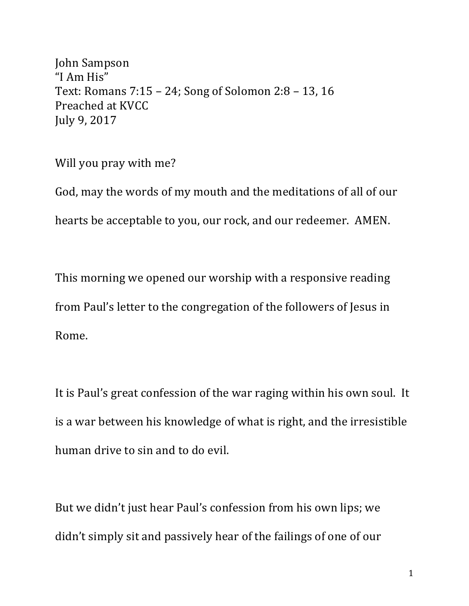John Sampson "I Am His" Text: Romans  $7:15 - 24$ ; Song of Solomon  $2:8 - 13$ , 16 Preached at KVCC July 9, 2017

Will you pray with me?

God, may the words of my mouth and the meditations of all of our hearts be acceptable to you, our rock, and our redeemer. AMEN.

This morning we opened our worship with a responsive reading from Paul's letter to the congregation of the followers of Jesus in Rome.

It is Paul's great confession of the war raging within his own soul. It is a war between his knowledge of what is right, and the irresistible human drive to sin and to do evil.

But we didn't just hear Paul's confession from his own lips; we didn't simply sit and passively hear of the failings of one of our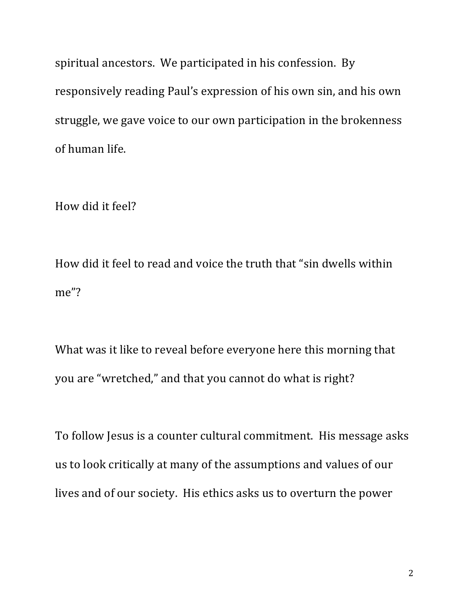spiritual ancestors. We participated in his confession. By responsively reading Paul's expression of his own sin, and his own struggle, we gave voice to our own participation in the brokenness of human life.

How did it feel?

How did it feel to read and voice the truth that "sin dwells within me"? 

What was it like to reveal before everyone here this morning that you are "wretched," and that you cannot do what is right?

To follow Jesus is a counter cultural commitment. His message asks us to look critically at many of the assumptions and values of our lives and of our society. His ethics asks us to overturn the power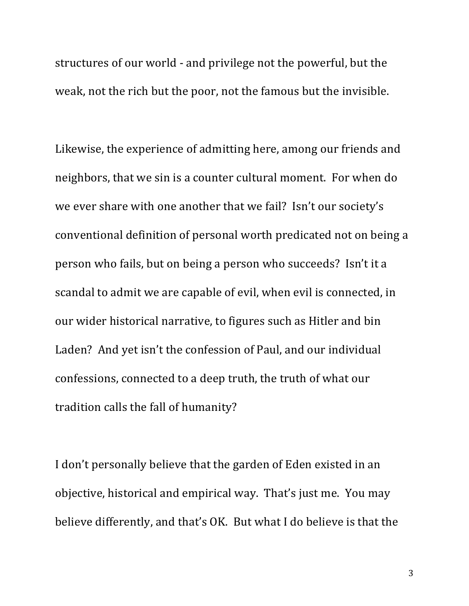structures of our world - and privilege not the powerful, but the weak, not the rich but the poor, not the famous but the invisible.

Likewise, the experience of admitting here, among our friends and neighbors, that we sin is a counter cultural moment. For when do we ever share with one another that we fail? Isn't our society's conventional definition of personal worth predicated not on being a person who fails, but on being a person who succeeds? Isn't it a scandal to admit we are capable of evil, when evil is connected, in our wider historical narrative, to figures such as Hitler and bin Laden? And vet isn't the confession of Paul, and our individual confessions, connected to a deep truth, the truth of what our tradition calls the fall of humanity?

I don't personally believe that the garden of Eden existed in an objective, historical and empirical way. That's just me. You may believe differently, and that's OK. But what I do believe is that the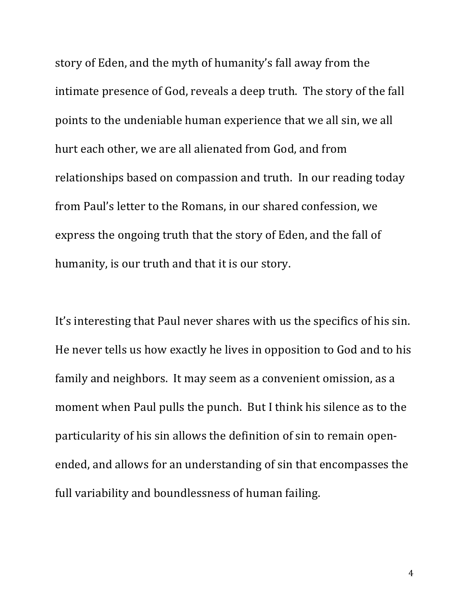story of Eden, and the myth of humanity's fall away from the intimate presence of God, reveals a deep truth. The story of the fall points to the undeniable human experience that we all sin, we all hurt each other, we are all alienated from God, and from relationships based on compassion and truth. In our reading today from Paul's letter to the Romans, in our shared confession, we express the ongoing truth that the story of Eden, and the fall of humanity, is our truth and that it is our story.

It's interesting that Paul never shares with us the specifics of his sin. He never tells us how exactly he lives in opposition to God and to his family and neighbors. It may seem as a convenient omission, as a moment when Paul pulls the punch. But I think his silence as to the particularity of his sin allows the definition of sin to remain openended, and allows for an understanding of sin that encompasses the full variability and boundlessness of human failing.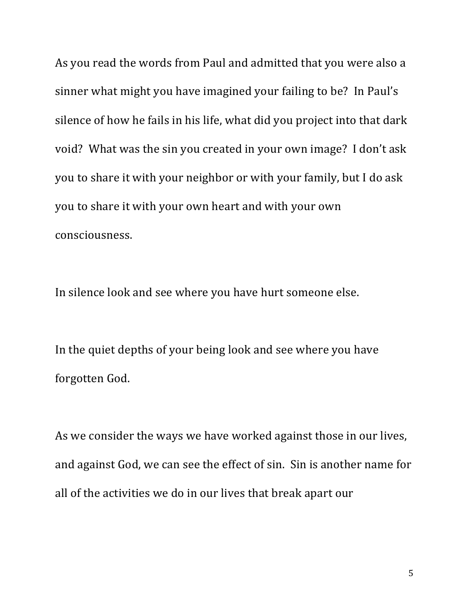As you read the words from Paul and admitted that you were also a sinner what might you have imagined your failing to be? In Paul's silence of how he fails in his life, what did you project into that dark void? What was the sin you created in your own image? I don't ask you to share it with your neighbor or with your family, but I do ask you to share it with your own heart and with your own consciousness. 

In silence look and see where you have hurt someone else.

In the quiet depths of your being look and see where you have forgotten God.

As we consider the ways we have worked against those in our lives, and against God, we can see the effect of sin. Sin is another name for all of the activities we do in our lives that break apart our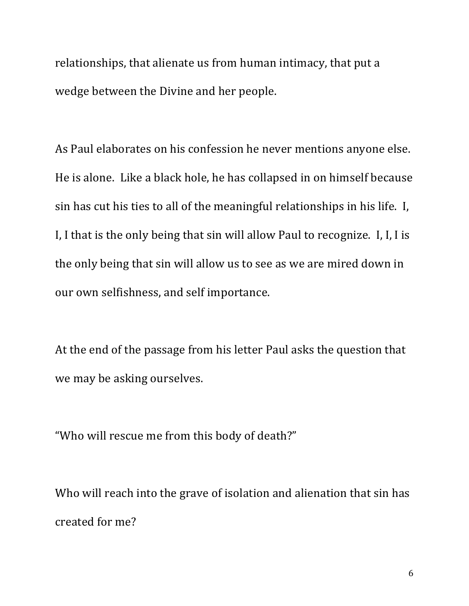relationships, that alienate us from human intimacy, that put a wedge between the Divine and her people.

As Paul elaborates on his confession he never mentions anyone else. He is alone. Like a black hole, he has collapsed in on himself because sin has cut his ties to all of the meaningful relationships in his life. I, I, I that is the only being that sin will allow Paul to recognize. I, I, I is the only being that sin will allow us to see as we are mired down in our own selfishness, and self importance.

At the end of the passage from his letter Paul asks the question that we may be asking ourselves.

"Who will rescue me from this body of death?"

Who will reach into the grave of isolation and alienation that sin has created for me?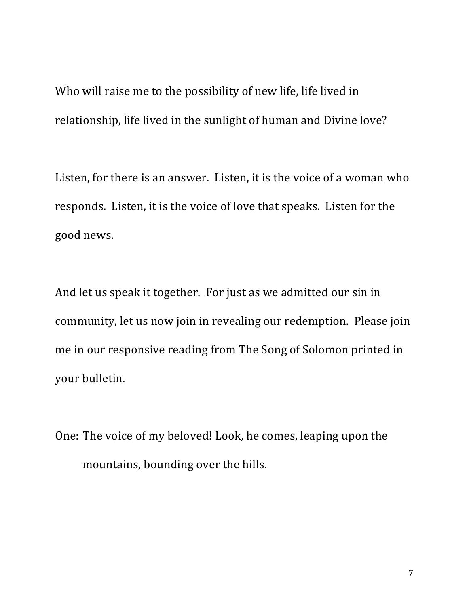Who will raise me to the possibility of new life, life lived in relationship, life lived in the sunlight of human and Divine love?

Listen, for there is an answer. Listen, it is the voice of a woman who responds. Listen, it is the voice of love that speaks. Listen for the good news.

And let us speak it together. For just as we admitted our sin in community, let us now join in revealing our redemption. Please join me in our responsive reading from The Song of Solomon printed in your bulletin.

One: The voice of my beloved! Look, he comes, leaping upon the mountains, bounding over the hills.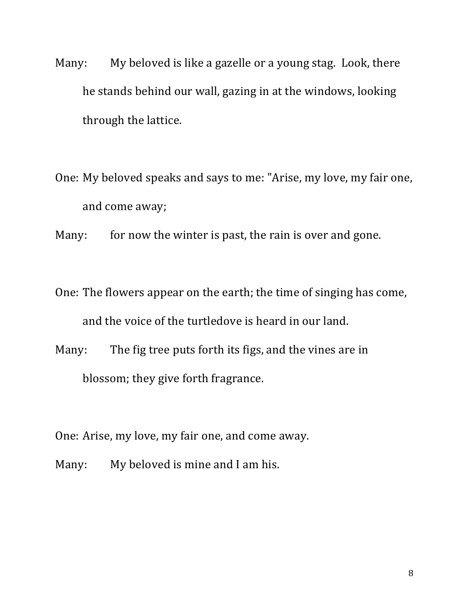- Many: My beloved is like a gazelle or a young stag. Look, there he stands behind our wall, gazing in at the windows, looking through the lattice.
- One: My beloved speaks and says to me: "Arise, my love, my fair one, and come away;
- Many: for now the winter is past, the rain is over and gone.
- One: The flowers appear on the earth; the time of singing has come, and the voice of the turtledove is heard in our land.
- Many: The fig tree puts forth its figs, and the vines are in blossom; they give forth fragrance.
- One: Arise, my love, my fair one, and come away.
- Many: My beloved is mine and I am his.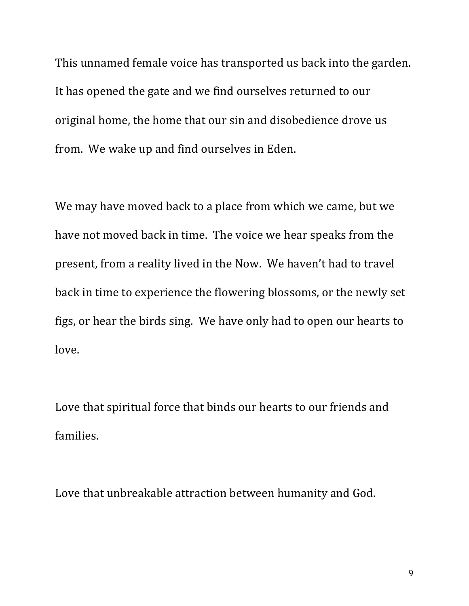This unnamed female voice has transported us back into the garden. It has opened the gate and we find ourselves returned to our original home, the home that our sin and disobedience drove us from. We wake up and find ourselves in Eden.

We may have moved back to a place from which we came, but we have not moved back in time. The voice we hear speaks from the present, from a reality lived in the Now. We haven't had to travel back in time to experience the flowering blossoms, or the newly set figs, or hear the birds sing. We have only had to open our hearts to love. 

Love that spiritual force that binds our hearts to our friends and families. 

Love that unbreakable attraction between humanity and God.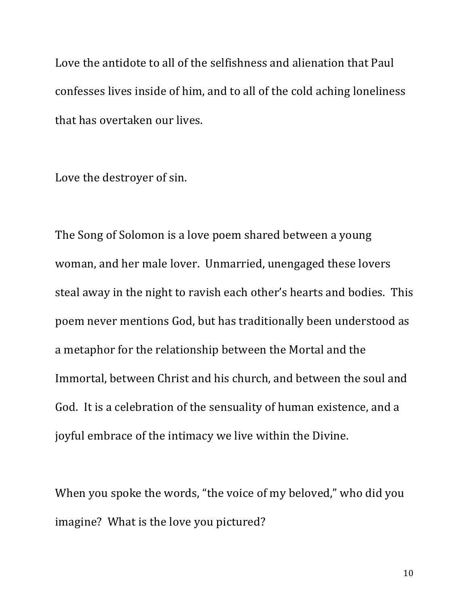Love the antidote to all of the selfishness and alienation that Paul confesses lives inside of him, and to all of the cold aching loneliness that has overtaken our lives.

Love the destroyer of sin.

The Song of Solomon is a love poem shared between a young woman, and her male lover. Unmarried, unengaged these lovers steal away in the night to ravish each other's hearts and bodies. This poem never mentions God, but has traditionally been understood as a metaphor for the relationship between the Mortal and the Immortal, between Christ and his church, and between the soul and God. It is a celebration of the sensuality of human existence, and a joyful embrace of the intimacy we live within the Divine.

When you spoke the words, "the voice of my beloved," who did you imagine? What is the love you pictured?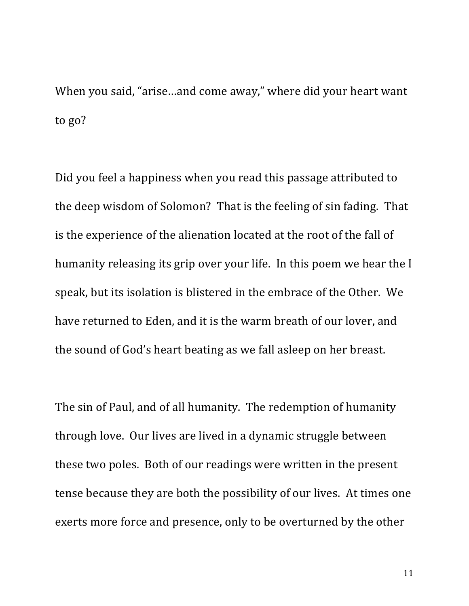When you said, "arise...and come away," where did your heart want to go?

Did you feel a happiness when you read this passage attributed to the deep wisdom of Solomon? That is the feeling of sin fading. That is the experience of the alienation located at the root of the fall of humanity releasing its grip over your life. In this poem we hear the I speak, but its isolation is blistered in the embrace of the Other. We have returned to Eden, and it is the warm breath of our lover, and the sound of God's heart beating as we fall asleep on her breast.

The sin of Paul, and of all humanity. The redemption of humanity through love. Our lives are lived in a dynamic struggle between these two poles. Both of our readings were written in the present tense because they are both the possibility of our lives. At times one exerts more force and presence, only to be overturned by the other

11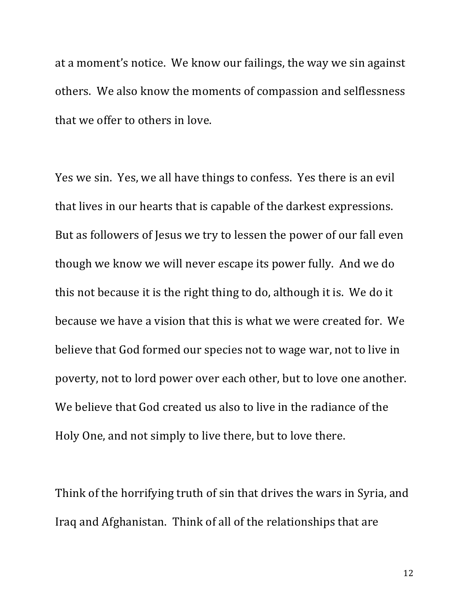at a moment's notice. We know our failings, the way we sin against others. We also know the moments of compassion and selflessness that we offer to others in love.

Yes we sin. Yes, we all have things to confess. Yes there is an evil that lives in our hearts that is capable of the darkest expressions. But as followers of Jesus we try to lessen the power of our fall even though we know we will never escape its power fully. And we do this not because it is the right thing to do, although it is. We do it because we have a vision that this is what we were created for. We believe that God formed our species not to wage war, not to live in poverty, not to lord power over each other, but to love one another. We believe that God created us also to live in the radiance of the Holy One, and not simply to live there, but to love there.

Think of the horrifying truth of sin that drives the wars in Syria, and Iraq and Afghanistan. Think of all of the relationships that are

12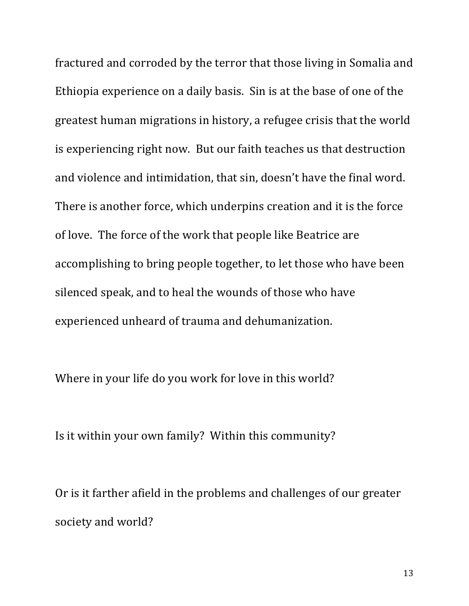fractured and corroded by the terror that those living in Somalia and Ethiopia experience on a daily basis. Sin is at the base of one of the greatest human migrations in history, a refugee crisis that the world is experiencing right now. But our faith teaches us that destruction and violence and intimidation, that sin, doesn't have the final word. There is another force, which underpins creation and it is the force of love. The force of the work that people like Beatrice are accomplishing to bring people together, to let those who have been silenced speak, and to heal the wounds of those who have experienced unheard of trauma and dehumanization.

Where in your life do you work for love in this world?

Is it within your own family? Within this community?

Or is it farther afield in the problems and challenges of our greater society and world?